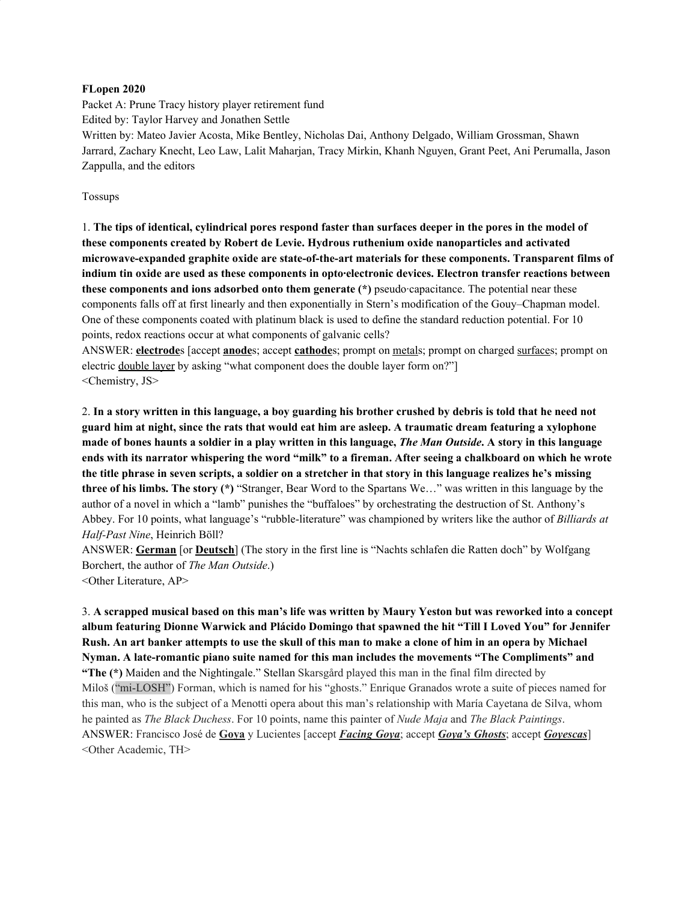#### **FLopen 2020**

Packet A: Prune Tracy history player retirement fund Edited by: Taylor Harvey and Jonathen Settle Written by: Mateo Javier Acosta, Mike Bentley, Nicholas Dai, Anthony Delgado, William Grossman, Shawn Jarrard, Zachary Knecht, Leo Law, Lalit Maharjan, Tracy Mirkin, Khanh Nguyen, Grant Peet, Ani Perumalla, Jason Zappulla, and the editors

Tossups

1. The tips of identical, cylindrical pores respond faster than surfaces deeper in the pores in the model of **these components created by Robert de Levie. Hydrous ruthenium oxide nanoparticles and activated microwave-expanded graphite oxide are state-of-the-art materials for these components. Transparent films of indium tin oxide are used as these components in opto·electronic devices. Electron transfer reactions between these components and ions adsorbed onto them generate (\*)** pseudo·capacitance. The potential near these components falls off at first linearly and then exponentially in Stern's modification of the Gouy–Chapman model. One of these components coated with platinum black is used to define the standard reduction potential. For 10 points, redox reactions occur at what components of galvanic cells?

ANSWER: **electrode**s [accept **anode**s; accept **cathode**s; prompt on metals; prompt on charged surfaces; prompt on electric double layer by asking "what component does the double layer form on?"] <Chemistry, JS>

2. In a story written in this language, a boy guarding his brother crushed by debris is told that he need not guard him at night, since the rats that would eat him are asleep. A traumatic dream featuring a xylophone made of bones haunts a soldier in a play written in this language, *The Man Outside*. A story in this language ends with its narrator whispering the word "milk" to a fireman. After seeing a chalkboard on which he wrote the title phrase in seven scripts, a soldier on a stretcher in that story in this language realizes he's missing **three of his limbs. The story (\*)** "Stranger, Bear Word to the Spartans We…" was written in this language by the author of a novel in which a "lamb" punishes the "buffaloes" by orchestrating the destruction of St. Anthony's Abbey. For 10 points, what language's "rubble-literature" was championed by writers like the author of *Billiards at Half-Past Nine*, Heinrich Böll?

ANSWER: **German** [or **Deutsch**] (The story in the first line is "Nachts schlafen die Ratten doch" by Wolfgang Borchert, the author of *The Man Outside*.) <Other Literature, AP>

3. A scrapped musical based on this man's life was written by Maury Yeston but was reworked into a concept **album featuring Dionne Warwick and Plácido Domingo that spawned the hit "Till I Loved You" for Jennifer** Rush. An art banker attempts to use the skull of this man to make a clone of him in an opera by Michael **Nyman. A late-romantic piano suite named for this man includes the movements "The Compliments" and "The (\*)** Maiden and the Nightingale." Stellan Skarsgård played this man in the final film directed by Miloš ("mi-LOSH") Forman, which is named for his "ghosts." Enrique Granados wrote a suite of pieces named for this man, who is the subject of a Menotti opera about this man's relationship with María Cayetana de Silva, whom he painted as *The Black Duchess*. For 10 points, name this painter of *Nude Maja* and *The Black Paintings*. ANSWER: Francisco José de **Goya** y Lucientes [accept *Facing Goya*; accept *Goya's Ghosts*; accept *Goyescas*] <Other Academic, TH>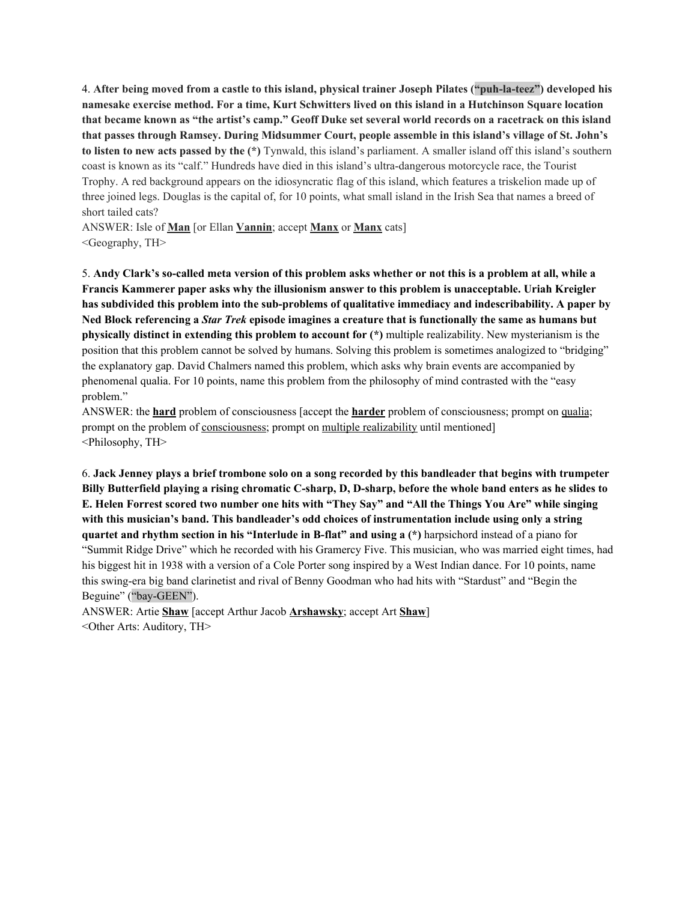4. **After being moved from a castle to this island, physical trainer Joseph Pilates ("puh-la-teez") developed his** namesake exercise method. For a time, Kurt Schwitters lived on this island in a Hutchinson Square location that became known as "the artist's camp." Geoff Duke set several world records on a racetrack on this island **that passes through Ramsey. During Midsummer Court, people assemble in this island's village of St. John's to listen to new acts passed by the (\*)** Tynwald, this island's parliament. A smaller island off this island's southern coast is known as its "calf." Hundreds have died in this island's ultra-dangerous motorcycle race, the Tourist Trophy. A red background appears on the idiosyncratic flag of this island, which features a triskelion made up of three joined legs. Douglas is the capital of, for 10 points, what small island in the Irish Sea that names a breed of short tailed cats?

ANSWER: Isle of **Man** [or Ellan **Vannin**; accept **Manx** or **Manx** cats] <Geography, TH>

5. Andy Clark's so-called meta version of this problem asks whether or not this is a problem at all, while a **Francis Kammerer paper asks why the illusionism answer to this problem is unacceptable. Uriah Kreigler has subdivided this problem into the sub-problems of qualitative immediacy and indescribability. A paper by** Ned Block referencing a Star Trek episode imagines a creature that is functionally the same as humans but **physically distinct in extending this problem to account for (\*)** multiple realizability. New mysterianism is the position that this problem cannot be solved by humans. Solving this problem is sometimes analogized to "bridging" the explanatory gap. David Chalmers named this problem, which asks why brain events are accompanied by phenomenal qualia. For 10 points, name this problem from the philosophy of mind contrasted with the "easy problem."

ANSWER: the **hard** problem of consciousness [accept the **harder** problem of consciousness; prompt on qualia; prompt on the problem of consciousness; prompt on multiple realizability until mentioned] <Philosophy, TH>

6. Jack Jenney plays a brief trombone solo on a song recorded by this bandleader that begins with trumpeter Billy Butterfield playing a rising chromatic C-sharp, D, D-sharp, before the whole band enters as he slides to E. Helen Forrest scored two number one hits with "They Say" and "All the Things You Are" while singing **with this musician's band. This bandleader's odd choices of instrumentation include using only a string quartet and rhythm section in his "Interlude in B-flat" and using a (\*)** harpsichord instead of a piano for "Summit Ridge Drive" which he recorded with his Gramercy Five. This musician, who was married eight times, had his biggest hit in 1938 with a version of a Cole Porter song inspired by a West Indian dance. For 10 points, name this swing-era big band clarinetist and rival of Benny Goodman who had hits with "Stardust" and "Begin the Beguine" ("bay-GEEN").

ANSWER: Artie **Shaw** [accept Arthur Jacob **Arshawsky**; accept Art **Shaw**] <Other Arts: Auditory, TH>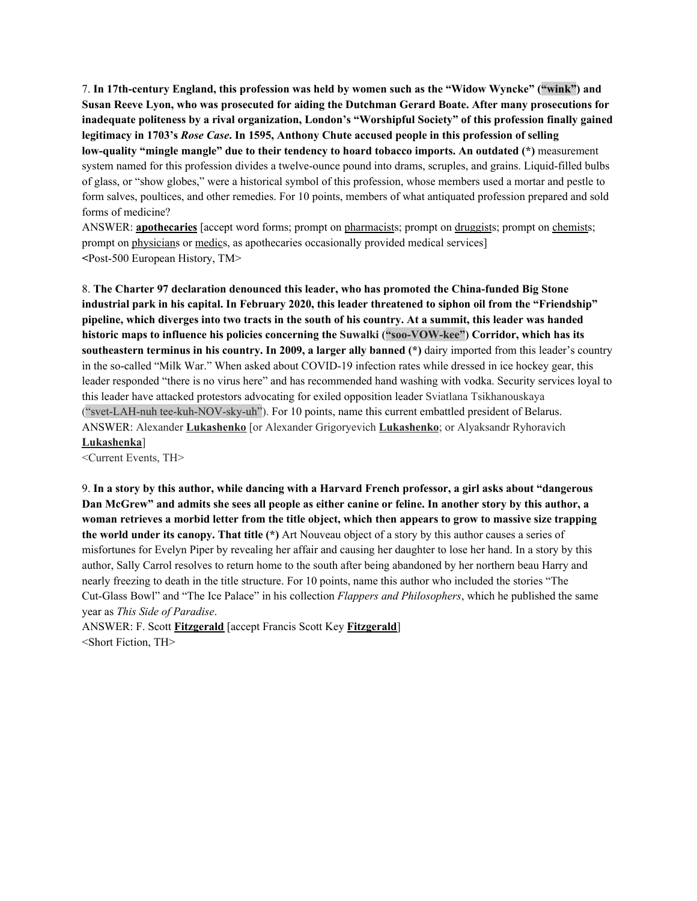7. **In 17th-century England, this profession was held by women such as the "Widow Wyncke" ("wink") and Susan Reeve Lyon, who was prosecuted for aiding the Dutchman Gerard Boate. After many prosecutions for inadequate politeness by a rival organization, London's "Worshipful Society" of this profession finally gained legitimacy in 1703's** *Rose Case***. In 1595, Anthony Chute accused people in this profession of selling low-quality "mingle mangle" due to their tendency to hoard tobacco imports. An outdated (\*)** measurement system named for this profession divides a twelve-ounce pound into drams, scruples, and grains. Liquid-filled bulbs of glass, or "show globes," were a historical symbol of this profession, whose members used a mortar and pestle to form salves, poultices, and other remedies. For 10 points, members of what antiquated profession prepared and sold forms of medicine?

ANSWER: **apothecaries** [accept word forms; prompt on pharmacists; prompt on druggists; prompt on chemists; prompt on physicians or medics, as apothecaries occasionally provided medical services] **<**Post-500 European History, TM>

8. **The Charter 97 declaration denounced this leader, who has promoted the China-funded Big Stone** industrial park in his capital. In February 2020, this leader threatened to siphon oil from the "Friendship" pipeline, which diverges into two tracts in the south of his country. At a summit, this leader was handed **historic maps to influence his policies concerning the Suwałki ("soo-VOW-kee") Corridor, which has its southeastern terminus in his country. In 2009, a larger ally banned (\*)** dairy imported from this leader's country in the so-called "Milk War." When asked about COVID-19 infection rates while dressed in ice hockey gear, this leader responded "there is no virus here" and has recommended hand washing with vodka. Security services loyal to this leader have attacked protestors advocating for exiled opposition leader Sviatlana Tsikhanouskaya ("svet-LAH-nuh tee-kuh-NOV-sky-uh"). For 10 points, name this current embattled president of Belarus. ANSWER: Alexander **Lukashenko** [or Alexander Grigoryevich **Lukashenko**; or Alyaksandr Ryhoravich **Lukashenka**]

<Current Events, TH>

9. In a story by this author, while dancing with a Harvard French professor, a girl asks about "dangerous Dan McGrew" and admits she sees all people as either canine or feline. In another story by this author, a woman retrieves a morbid letter from the title object, which then appears to grow to massive size trapping **the world under its canopy. That title (\*)** Art Nouveau object of a story by this author causes a series of misfortunes for Evelyn Piper by revealing her affair and causing her daughter to lose her hand. In a story by this author, Sally Carrol resolves to return home to the south after being abandoned by her northern beau Harry and nearly freezing to death in the title structure. For 10 points, name this author who included the stories "The Cut-Glass Bowl" and "The Ice Palace" in his collection *Flappers and Philosophers*, which he published the same year as *This Side of Paradise*.

ANSWER: F. Scott **Fitzgerald** [accept Francis Scott Key **Fitzgerald**] <Short Fiction, TH>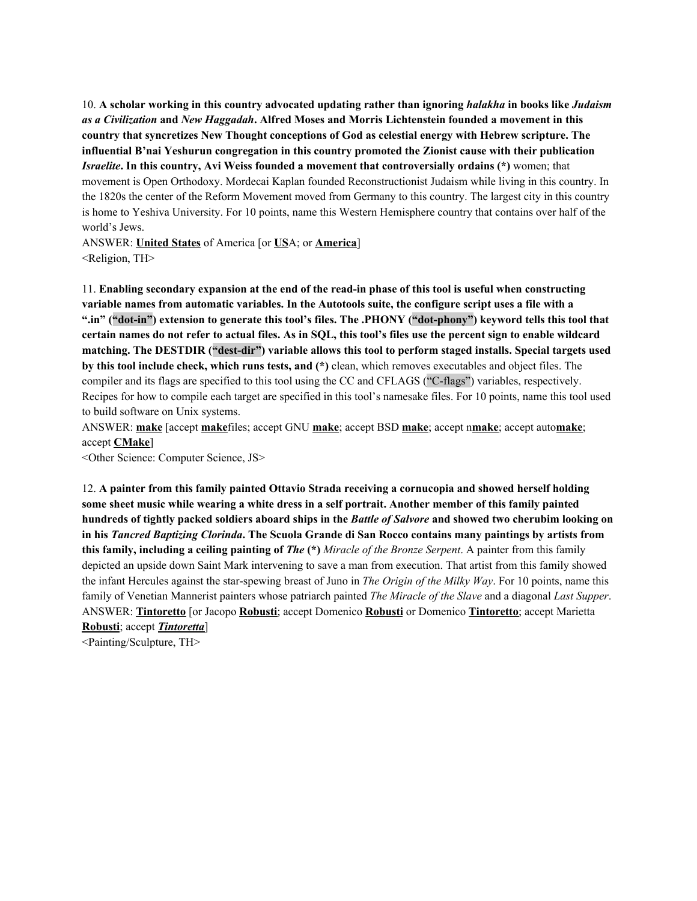10. **A scholar working in this country advocated updating rather than ignoring** *halakha* **in books like** *Judaism as a Civilization* **and** *New Haggadah***. Alfred Moses and Morris Lichtenstein founded a movement in this country that syncretizes New Thought conceptions of God as celestial energy with Hebrew scripture. The influential B'nai Yeshurun congregation in this country promoted the Zionist cause with their publication** *Israelite***. In this country, Avi Weiss founded a movement that controversially ordains (\*)** women; that movement is Open Orthodoxy. Mordecai Kaplan founded Reconstructionist Judaism while living in this country. In the 1820s the center of the Reform Movement moved from Germany to this country. The largest city in this country is home to Yeshiva University. For 10 points, name this Western Hemisphere country that contains over half of the world's Jews.

ANSWER: **United States** of America [or **US**A; or **America**] <Religion, TH>

11. **Enabling secondary expansion at the end of the read-in phase of this tool is useful when constructing variable names from automatic variables. In the Autotools suite, the configure script uses a file with a ".in" ("dot-in") extension to generate this tool's files. The .PHONY ("dot-phony") keyword tells this tool that** certain names do not refer to actual files. As in SQL, this tool's files use the percent sign to enable wildcard **matching. The DESTDIR ("dest-dir") variable allows this tool to perform staged installs. Special targets used by this tool include check, which runs tests, and (\*)** clean, which removes executables and object files. The compiler and its flags are specified to this tool using the CC and CFLAGS ("C-flags") variables, respectively. Recipes for how to compile each target are specified in this tool's namesake files. For 10 points, name this tool used to build software on Unix systems.

ANSWER: **make** [accept **make**files; accept GNU **make**; accept BSD **make**; accept n**make**; accept auto**make**; accept **CMake**]

<Other Science: Computer Science, JS>

12. **A painter from this family painted Ottavio Strada receiving a cornucopia and showed herself holding** some sheet music while wearing a white dress in a self portrait. Another member of this family painted hundreds of tightly packed soldiers aboard ships in the *Battle of Salvore* and showed two cherubim looking on in his *Tancred Baptizing Clorinda*. The Scuola Grande di San Rocco contains many paintings by artists from **this family, including a ceiling painting of** *The* **(\*)** *Miracle of the Bronze Serpent*. A painter from this family depicted an upside down Saint Mark intervening to save a man from execution. That artist from this family showed the infant Hercules against the star-spewing breast of Juno in *The Origin of the Milky Way*. For 10 points, name this family of Venetian Mannerist painters whose patriarch painted *The Miracle of the Slave* and a diagonal *Last Supper*. ANSWER: **Tintoretto** [or Jacopo **Robusti**; accept Domenico **Robusti** or Domenico **Tintoretto**; accept Marietta **Robusti**; accept *Tintoretta*]

<Painting/Sculpture, TH>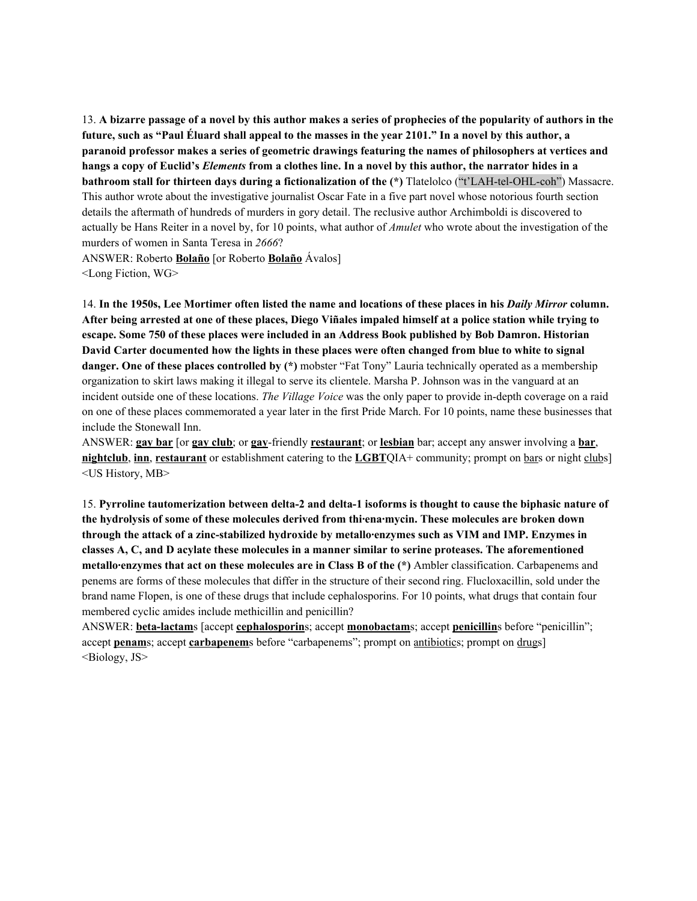13. A bizarre passage of a novel by this author makes a series of prophecies of the popularity of authors in the future, such as "Paul Éluard shall appeal to the masses in the year 2101." In a novel by this author, a **paranoid professor makes a series of geometric drawings featuring the names of philosophers at vertices and** hangs a copy of Euclid's *Elements* from a clothes line. In a novel by this author, the narrator hides in a **bathroom stall for thirteen days during a fictionalization of the (\*)** Tlatelolco ("t'LAH-tel-OHL-coh") Massacre. This author wrote about the investigative journalist Oscar Fate in a five part novel whose notorious fourth section details the aftermath of hundreds of murders in gory detail. The reclusive author Archimboldi is discovered to actually be Hans Reiter in a novel by, for 10 points, what author of *Amulet* who wrote about the investigation of the murders of women in Santa Teresa in *2666*?

ANSWER: Roberto **Bolaño** [or Roberto **Bolaño** Ávalos] <Long Fiction, WG>

14. In the 1950s, Lee Mortimer often listed the name and locations of these places in his Daily Mirror column. After being arrested at one of these places, Diego Viñales impaled himself at a police station while trying to **escape. Some 750 of these places were included in an Address Book published by Bob Damron. Historian** David Carter documented how the lights in these places were often changed from blue to white to signal **danger. One of these places controlled by (\*)** mobster "Fat Tony" Lauria technically operated as a membership organization to skirt laws making it illegal to serve its clientele. Marsha P. Johnson was in the vanguard at an incident outside one of these locations. *The Village Voice* was the only paper to provide in-depth coverage on a raid on one of these places commemorated a year later in the first Pride March. For 10 points, name these businesses that include the Stonewall Inn.

ANSWER: **gay bar** [or **gay club**; or **gay**-friendly **restaurant**; or **lesbian** bar; accept any answer involving a **bar**, **nightclub**, **inn**, **restaurant** or establishment catering to the **LGBT**QIA+ community; prompt on bars or night clubs] <US History, MB>

15. **Pyrroline tautomerization between delta-2 and delta-1 isoforms is thought to cause the biphasic nature of the hydrolysis of some of these molecules derived from thi·ena·mycin. These molecules are broken down through the attack of a zinc-stabilized hydroxide by metallo·enzymes such as VIM and IMP. Enzymes in classes A, C, and D acylate these molecules in a manner similar to serine proteases. The aforementioned metallo·enzymes that act on these molecules are in Class B of the (\*)** Ambler classification. Carbapenems and penems are forms of these molecules that differ in the structure of their second ring. Flucloxacillin, sold under the brand name Flopen, is one of these drugs that include cephalosporins. For 10 points, what drugs that contain four membered cyclic amides include methicillin and penicillin?

ANSWER: **beta-lactam**s [accept **cephalosporin**s; accept **monobactam**s; accept **penicillin**s before "penicillin"; accept **penam**s; accept **carbapenem**s before "carbapenems"; prompt on antibiotics; prompt on drugs] <Biology, JS>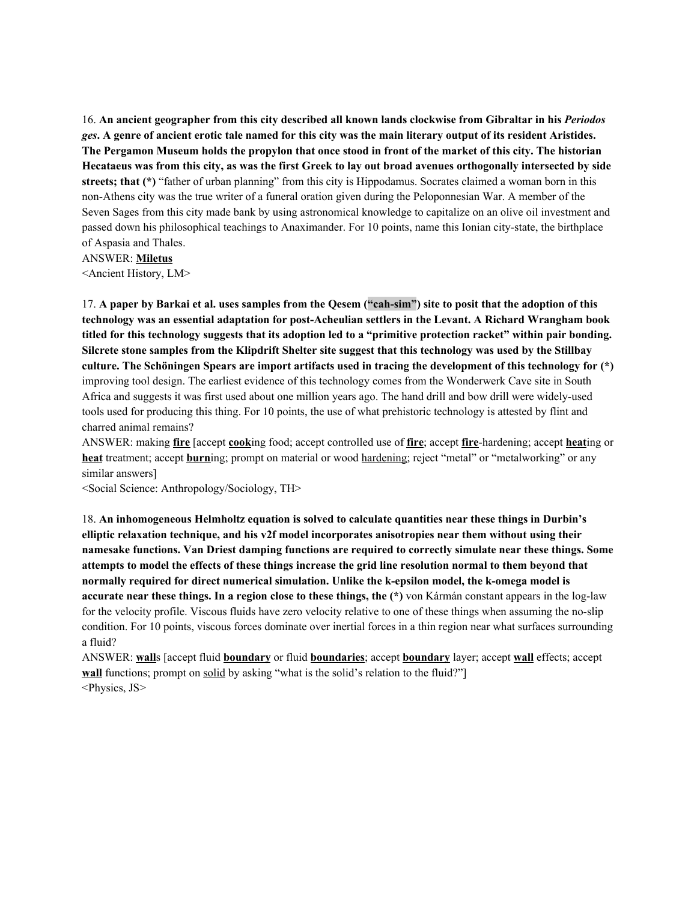16. **An ancient geographer from this city described all known lands clockwise from Gibraltar in his** *Periodos* ges. A genre of ancient erotic tale named for this city was the main literary output of its resident Aristides. The Pergamon Museum holds the propylon that once stood in front of the market of this city. The historian Hecataeus was from this city, as was the first Greek to lay out broad avenues orthogonally intersected by side **streets; that (\*)** "father of urban planning" from this city is Hippodamus. Socrates claimed a woman born in this non-Athens city was the true writer of a funeral oration given during the Peloponnesian War. A member of the Seven Sages from this city made bank by using astronomical knowledge to capitalize on an olive oil investment and passed down his philosophical teachings to Anaximander. For 10 points, name this Ionian city-state, the birthplace of Aspasia and Thales.

ANSWER: **Miletus**

<Ancient History, LM>

17. A paper by Barkai et al. uses samples from the Qesem ("cah-sim") site to posit that the adoption of this **technology was an essential adaptation for post-Acheulian settlers in the Levant. A Richard Wrangham book** titled for this technology suggests that its adoption led to a "primitive protection racket" within pair bonding. Silcrete stone samples from the Klipdrift Shelter site suggest that this technology was used by the Stillbay culture. The Schöningen Spears are import artifacts used in tracing the development of this technology for (\*) improving tool design. The earliest evidence of this technology comes from the Wonderwerk Cave site in South Africa and suggests it was first used about one million years ago. The hand drill and bow drill were widely-used tools used for producing this thing. For 10 points, the use of what prehistoric technology is attested by flint and charred animal remains?

ANSWER: making **fire** [accept **cook**ing food; accept controlled use of **fire**; accept **fire**-hardening; accept **heat**ing or **heat** treatment; accept **burn**ing; prompt on material or wood hardening; reject "metal" or "metalworking" or any similar answers]

<Social Science: Anthropology/Sociology, TH>

18. **An inhomogeneous Helmholtz equation is solved to calculate quantities near these things in Durbin's elliptic relaxation technique, and his v2f model incorporates anisotropies near them without using their namesake functions. Van Driest damping functions are required to correctly simulate near these things. Some** attempts to model the effects of these things increase the grid line resolution normal to them beyond that **normally required for direct numerical simulation. Unlike the k-epsilon model, the k-omega model is accurate near these things. In a region close to these things, the (\*)** von Kármán constant appears in the log-law for the velocity profile. Viscous fluids have zero velocity relative to one of these things when assuming the no-slip condition. For 10 points, viscous forces dominate over inertial forces in a thin region near what surfaces surrounding a fluid?

ANSWER: **wall**s [accept fluid **boundary** or fluid **boundaries**; accept **boundary** layer; accept **wall** effects; accept **wall** functions; prompt on solid by asking "what is the solid's relation to the fluid?" <Physics, JS>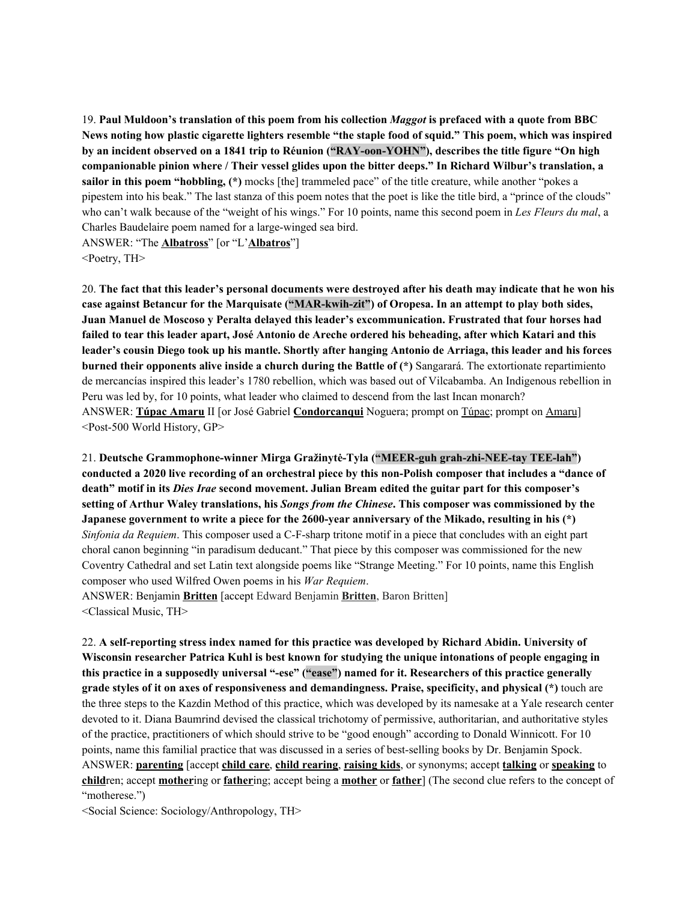19. **Paul Muldoon's translation of this poem from his collection** *Maggot* **is prefaced with a quote from BBC** News noting how plastic cigarette lighters resemble "the staple food of squid." This poem, which was inspired **by an incident observed on a 1841 trip to Réunion ("RAY-oon-YOHN"), describes the title figure "On high companionable pinion where / Their vessel glides upon the bitter deeps." In Richard Wilbur's translation, a sailor in this poem "hobbling, (\*)** mocks [the] trammeled pace" of the title creature, while another "pokes a pipestem into his beak." The last stanza of this poem notes that the poet is like the title bird, a "prince of the clouds" who can't walk because of the "weight of his wings." For 10 points, name this second poem in *Les Fleurs du mal*, a Charles Baudelaire poem named for a large-winged sea bird.

ANSWER: "The **Albatross**" [or "L'**Albatros**"] <Poetry, TH>

20. The fact that this leader's personal documents were destroved after his death may indicate that he won his **case against Betancur for the Marquisate ("MAR-kwih-zit") of Oropesa. In an attempt to play both sides, Juan Manuel de Moscoso y Peralta delayed this leader's excommunication. Frustrated that four horses had** failed to tear this leader apart, José Antonio de Areche ordered his beheading, after which Katari and this leader's cousin Diego took up his mantle. Shortly after hanging Antonio de Arriaga, this leader and his forces **burned their opponents alive inside a church during the Battle of (\*)** Sangarará. The extortionate repartimiento de mercancías inspired this leader's 1780 rebellion, which was based out of Vilcabamba. An Indigenous rebellion in Peru was led by, for 10 points, what leader who claimed to descend from the last Incan monarch? ANSWER: **Túpac Amaru** II [or José Gabriel **Condorcanqui** Noguera; prompt on Túpac; prompt on Amaru] <Post-500 World History, GP>

21. **Deutsche Grammophone-winner Mirga Gražinytė-Tyla ("MEER-guh grah-zhi-NEE-tay TEE-lah")** conducted a 2020 live recording of an orchestral piece by this non-Polish composer that includes a "dance of **death" motif in its** *Dies Irae* **second movement. Julian Bream edited the guitar part for this composer's setting of Arthur Waley translations, his** *Songs from the Chinese***. This composer was commissioned by the Japanese government to write a piece for the 2600-year anniversary of the Mikado, resulting in his (\*)** *Sinfonia da Requiem*. This composer used a C-F-sharp tritone motif in a piece that concludes with an eight part choral canon beginning "in paradisum deducant." That piece by this composer was commissioned for the new Coventry Cathedral and set Latin text alongside poems like "Strange Meeting." For 10 points, name this English composer who used Wilfred Owen poems in his *War Requiem*.

ANSWER: Benjamin **Britten** [accept Edward Benjamin **Britten**, Baron Britten] <Classical Music, TH>

22. **A self-reporting stress index named for this practice was developed by Richard Abidin. University of Wisconsin researcher Patrica Kuhl is best known for studying the unique intonations of people engaging in this practice in a supposedly universal "-ese" ("ease") named for it. Researchers of this practice generally grade styles of it on axes of responsiveness and demandingness. Praise, specificity, and physical (\*)** touch are the three steps to the Kazdin Method of this practice, which was developed by its namesake at a Yale research center devoted to it. Diana Baumrind devised the classical trichotomy of permissive, authoritarian, and authoritative styles of the practice, practitioners of which should strive to be "good enough" according to Donald Winnicott. For 10 points, name this familial practice that was discussed in a series of best-selling books by Dr. Benjamin Spock. ANSWER: **parenting** [accept **child care**, **child rearing**, **raising kids**, or synonyms; accept **talking** or **speaking** to **child**ren; accept **mother**ing or **father**ing; accept being a **mother** or **father**] (The second clue refers to the concept of "motherese.")

<Social Science: Sociology/Anthropology, TH>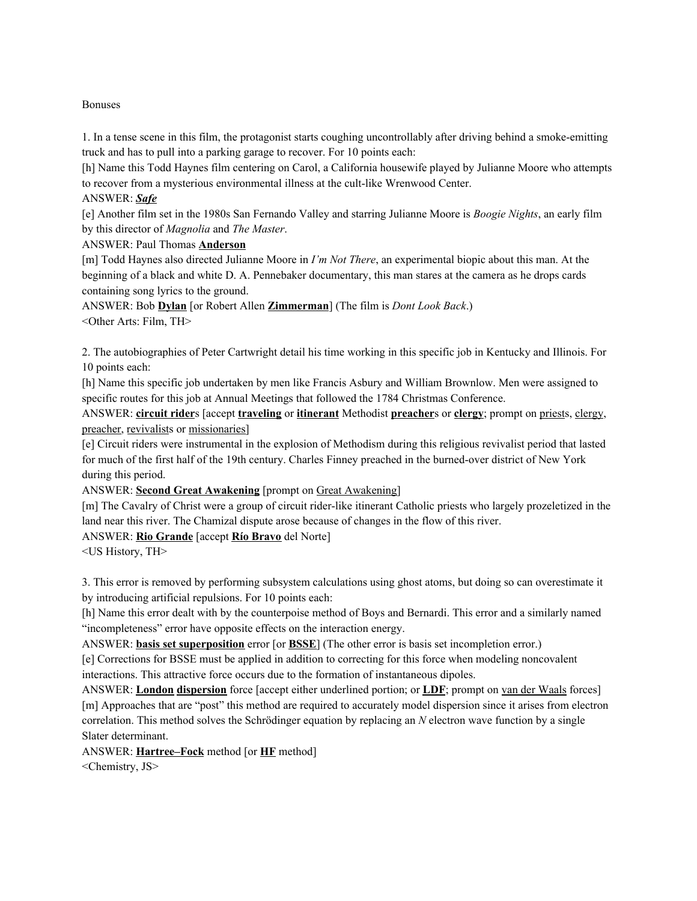#### Bonuses

1. In a tense scene in this film, the protagonist starts coughing uncontrollably after driving behind a smoke-emitting truck and has to pull into a parking garage to recover. For 10 points each:

[h] Name this Todd Haynes film centering on Carol, a California housewife played by Julianne Moore who attempts to recover from a mysterious environmental illness at the cult-like Wrenwood Center.

### ANSWER: *Safe*

[e] Another film set in the 1980s San Fernando Valley and starring Julianne Moore is *Boogie Nights*, an early film by this director of *Magnolia* and *The Master*.

### ANSWER: Paul Thomas **Anderson**

[m] Todd Haynes also directed Julianne Moore in *I'm Not There*, an experimental biopic about this man. At the beginning of a black and white D. A. Pennebaker documentary, this man stares at the camera as he drops cards containing song lyrics to the ground.

ANSWER: Bob **Dylan** [or Robert Allen **Zimmerman**] (The film is *Dont Look Back*.) <Other Arts: Film, TH>

2. The autobiographies of Peter Cartwright detail his time working in this specific job in Kentucky and Illinois. For 10 points each:

[h] Name this specific job undertaken by men like Francis Asbury and William Brownlow. Men were assigned to specific routes for this job at Annual Meetings that followed the 1784 Christmas Conference.

ANSWER: **circuit rider**s [accept **traveling** or **itinerant** Methodist **preacher**s or **clergy**; prompt on priests, clergy, preacher, revivalists or missionaries]

[e] Circuit riders were instrumental in the explosion of Methodism during this religious revivalist period that lasted for much of the first half of the 19th century. Charles Finney preached in the burned-over district of New York during this period.

### ANSWER: **Second Great Awakening** [prompt on Great Awakening]

[m] The Cavalry of Christ were a group of circuit rider-like itinerant Catholic priests who largely prozeletized in the land near this river. The Chamizal dispute arose because of changes in the flow of this river.

### ANSWER: **Rio Grande** [accept **Río Bravo** del Norte]

<US History, TH>

3. This error is removed by performing subsystem calculations using ghost atoms, but doing so can overestimate it by introducing artificial repulsions. For 10 points each:

[h] Name this error dealt with by the counterpoise method of Boys and Bernardi. This error and a similarly named "incompleteness" error have opposite effects on the interaction energy.

ANSWER: **basis set superposition** error [or **BSSE**] (The other error is basis set incompletion error.)

[e] Corrections for BSSE must be applied in addition to correcting for this force when modeling noncovalent interactions. This attractive force occurs due to the formation of instantaneous dipoles.

ANSWER: **London dispersion** force [accept either underlined portion; or **LDF**; prompt on van der Waals forces] [m] Approaches that are "post" this method are required to accurately model dispersion since it arises from electron correlation. This method solves the Schrödinger equation by replacing an *N* electron wave function by a single Slater determinant.

ANSWER: **Hartree–Fock** method [or **HF** method]

<Chemistry, JS>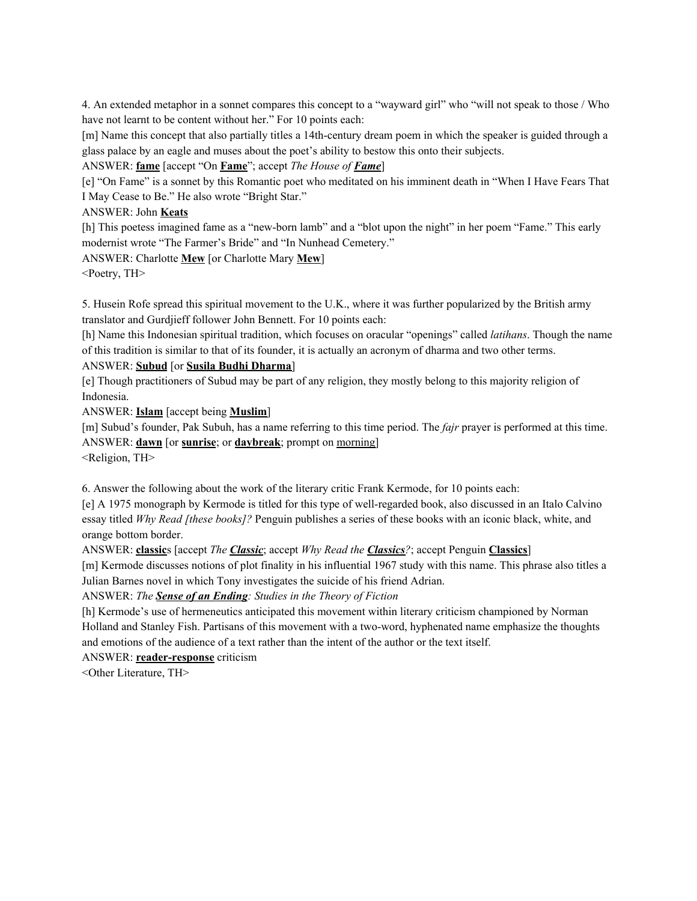4. An extended metaphor in a sonnet compares this concept to a "wayward girl" who "will not speak to those / Who have not learnt to be content without her." For 10 points each:

[m] Name this concept that also partially titles a 14th-century dream poem in which the speaker is guided through a glass palace by an eagle and muses about the poet's ability to bestow this onto their subjects.

ANSWER: **fame** [accept "On **Fame**"; accept *The House of Fame*]

[e] "On Fame" is a sonnet by this Romantic poet who meditated on his imminent death in "When I Have Fears That I May Cease to Be." He also wrote "Bright Star."

ANSWER: John **Keats**

[h] This poetess imagined fame as a "new-born lamb" and a "blot upon the night" in her poem "Fame." This early modernist wrote "The Farmer's Bride" and "In Nunhead Cemetery."

ANSWER: Charlotte **Mew** [or Charlotte Mary **Mew**]

<Poetry, TH>

5. Husein Rofe spread this spiritual movement to the U.K., where it was further popularized by the British army translator and Gurdjieff follower John Bennett. For 10 points each:

[h] Name this Indonesian spiritual tradition, which focuses on oracular "openings" called *latihans*. Though the name of this tradition is similar to that of its founder, it is actually an acronym of dharma and two other terms.

### ANSWER: **Subud** [or **Susila Budhi Dharma**]

[e] Though practitioners of Subud may be part of any religion, they mostly belong to this majority religion of Indonesia.

ANSWER: **Islam** [accept being **Muslim**]

[m] Subud's founder, Pak Subuh, has a name referring to this time period. The *fajr* prayer is performed at this time. ANSWER: **dawn** [or **sunrise**; or **daybreak**; prompt on morning]

<Religion, TH>

6. Answer the following about the work of the literary critic Frank Kermode, for 10 points each:

[e] A 1975 monograph by Kermode is titled for this type of well-regarded book, also discussed in an Italo Calvino essay titled *Why Read [these books]?* Penguin publishes a series of these books with an iconic black, white, and orange bottom border.

ANSWER: **classic**s [accept *The Classic*; accept *Why Read the Classics?*; accept Penguin **Classics**]

[m] Kermode discusses notions of plot finality in his influential 1967 study with this name. This phrase also titles a Julian Barnes novel in which Tony investigates the suicide of his friend Adrian.

ANSWER: *The Sense of an Ending: Studies in the Theory of Fiction*

[h] Kermode's use of hermeneutics anticipated this movement within literary criticism championed by Norman Holland and Stanley Fish. Partisans of this movement with a two-word, hyphenated name emphasize the thoughts and emotions of the audience of a text rather than the intent of the author or the text itself.

ANSWER: **reader-response** criticism

<Other Literature, TH>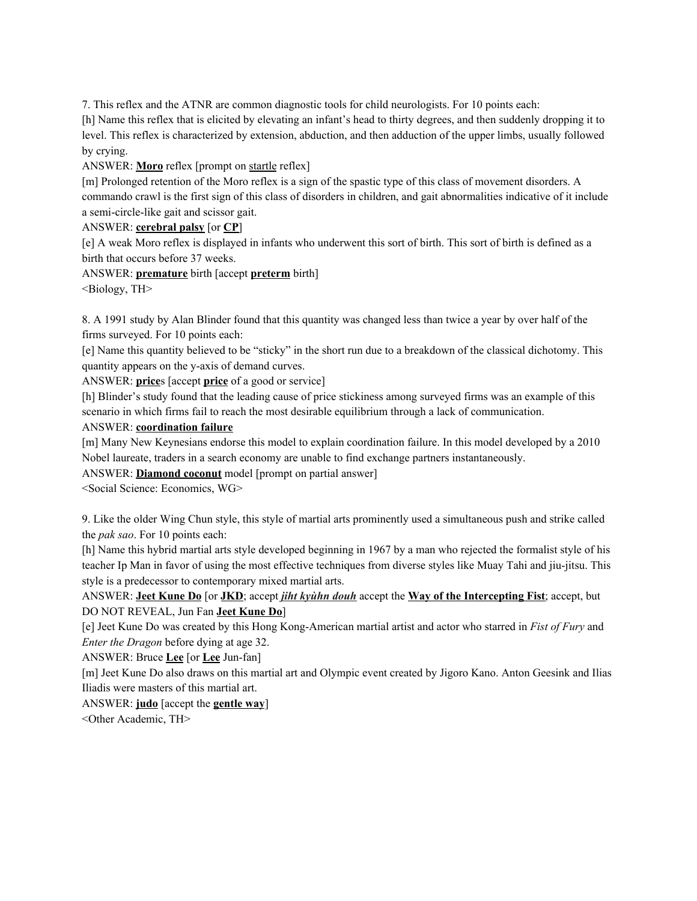7. This reflex and the ATNR are common diagnostic tools for child neurologists. For 10 points each:

[h] Name this reflex that is elicited by elevating an infant's head to thirty degrees, and then suddenly dropping it to level. This reflex is characterized by extension, abduction, and then adduction of the upper limbs, usually followed by crying.

ANSWER: **Moro** reflex [prompt on startle reflex]

[m] Prolonged retention of the Moro reflex is a sign of the spastic type of this class of movement disorders. A commando crawl is the first sign of this class of disorders in children, and gait abnormalities indicative of it include a semi-circle-like gait and scissor gait.

ANSWER: **cerebral palsy** [or **CP**]

[e] A weak Moro reflex is displayed in infants who underwent this sort of birth. This sort of birth is defined as a birth that occurs before 37 weeks.

ANSWER: **premature** birth [accept **preterm** birth]

<Biology, TH>

8. A 1991 study by Alan Blinder found that this quantity was changed less than twice a year by over half of the firms surveyed. For 10 points each:

[e] Name this quantity believed to be "sticky" in the short run due to a breakdown of the classical dichotomy. This quantity appears on the y-axis of demand curves.

ANSWER: **price**s [accept **price** of a good or service]

[h] Blinder's study found that the leading cause of price stickiness among surveyed firms was an example of this scenario in which firms fail to reach the most desirable equilibrium through a lack of communication.

### ANSWER: **coordination failure**

[m] Many New Keynesians endorse this model to explain coordination failure. In this model developed by a 2010 Nobel laureate, traders in a search economy are unable to find exchange partners instantaneously.

ANSWER: **Diamond coconut** model [prompt on partial answer]

<Social Science: Economics, WG>

9. Like the older Wing Chun style, this style of martial arts prominently used a simultaneous push and strike called the *pak sao*. For 10 points each:

[h] Name this hybrid martial arts style developed beginning in 1967 by a man who rejected the formalist style of his teacher Ip Man in favor of using the most effective techniques from diverse styles like Muay Tahi and jiu-jitsu. This style is a predecessor to contemporary mixed martial arts.

ANSWER: **Jeet Kune Do** [or **JKD**; accept *jiht kyùhn douh* accept the **Way of the Intercepting Fist**; accept, but DO NOT REVEAL, Jun Fan **Jeet Kune Do**]

[e] Jeet Kune Do was created by this Hong Kong-American martial artist and actor who starred in *Fist of Fury* and *Enter the Dragon* before dying at age 32.

ANSWER: Bruce **Lee** [or **Lee** Jun-fan]

[m] Jeet Kune Do also draws on this martial art and Olympic event created by Jigoro Kano. Anton Geesink and Ilias Iliadis were masters of this martial art.

# ANSWER: **judo** [accept the **gentle way**]

<Other Academic, TH>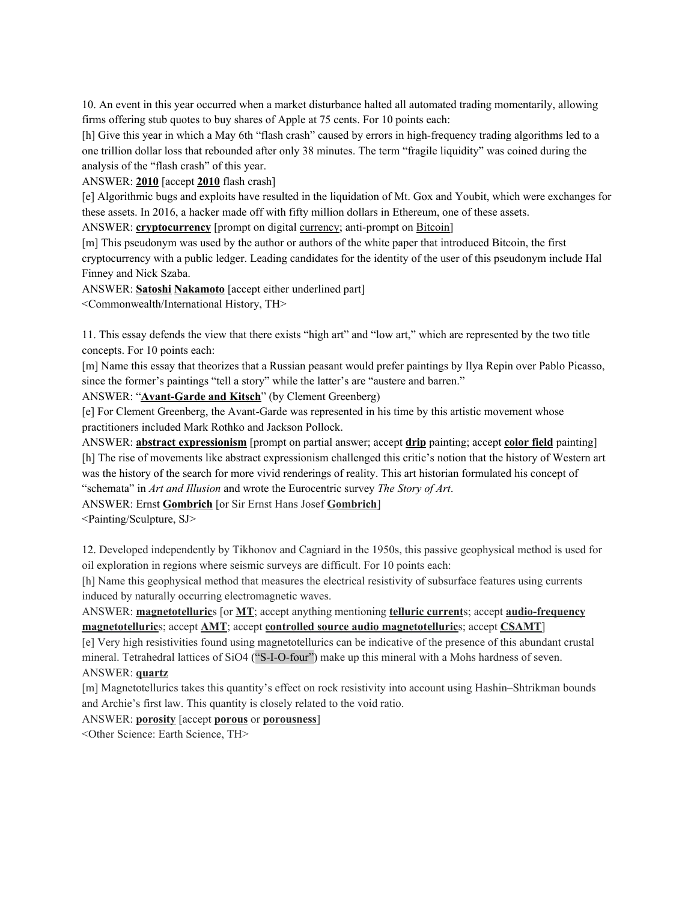10. An event in this year occurred when a market disturbance halted all automated trading momentarily, allowing firms offering stub quotes to buy shares of Apple at 75 cents. For 10 points each:

[h] Give this year in which a May 6th "flash crash" caused by errors in high-frequency trading algorithms led to a one trillion dollar loss that rebounded after only 38 minutes. The term "fragile liquidity" was coined during the analysis of the "flash crash" of this year.

ANSWER: **2010** [accept **2010** flash crash]

[e] Algorithmic bugs and exploits have resulted in the liquidation of Mt. Gox and Youbit, which were exchanges for these assets. In 2016, a hacker made off with fifty million dollars in Ethereum, one of these assets.

ANSWER: **cryptocurrency** [prompt on digital currency; anti-prompt on Bitcoin]

[m] This pseudonym was used by the author or authors of the white paper that introduced Bitcoin, the first cryptocurrency with a public ledger. Leading candidates for the identity of the user of this pseudonym include Hal Finney and Nick Szaba.

ANSWER: **Satoshi Nakamoto** [accept either underlined part]

<Commonwealth/International History, TH>

11. This essay defends the view that there exists "high art" and "low art," which are represented by the two title concepts. For 10 points each:

[m] Name this essay that theorizes that a Russian peasant would prefer paintings by Ilya Repin over Pablo Picasso, since the former's paintings "tell a story" while the latter's are "austere and barren."

ANSWER: "**Avant-Garde and Kitsch**" (by Clement Greenberg)

[e] For Clement Greenberg, the Avant-Garde was represented in his time by this artistic movement whose practitioners included Mark Rothko and Jackson Pollock.

ANSWER: **abstract expressionism** [prompt on partial answer; accept **drip** painting; accept **color field** painting] [h] The rise of movements like abstract expressionism challenged this critic's notion that the history of Western art was the history of the search for more vivid renderings of reality. This art historian formulated his concept of "schemata" in *Art and Illusion* and wrote the Eurocentric survey *The Story of Art*.

ANSWER: Ernst **Gombrich** [or Sir Ernst Hans Josef **Gombrich**]

<Painting/Sculpture, SJ>

12. Developed independently by Tikhonov and Cagniard in the 1950s, this passive geophysical method is used for oil exploration in regions where seismic surveys are difficult. For 10 points each:

[h] Name this geophysical method that measures the electrical resistivity of subsurface features using currents induced by naturally occurring electromagnetic waves.

ANSWER: **magnetotelluric**s [or **MT**; accept anything mentioning **telluric current**s; accept **audio-frequency magnetotelluric**s; accept **AMT**; accept **controlled source audio magnetotelluric**s; accept **CSAMT**]

[e] Very high resistivities found using magnetotellurics can be indicative of the presence of this abundant crustal mineral. Tetrahedral lattices of SiO4 ("S-I-O-four") make up this mineral with a Mohs hardness of seven. ANSWER: **quartz**

[m] Magnetotellurics takes this quantity's effect on rock resistivity into account using Hashin–Shtrikman bounds and Archie's first law. This quantity is closely related to the void ratio.

ANSWER: **porosity** [accept **porous** or **porousness**]

<Other Science: Earth Science, TH>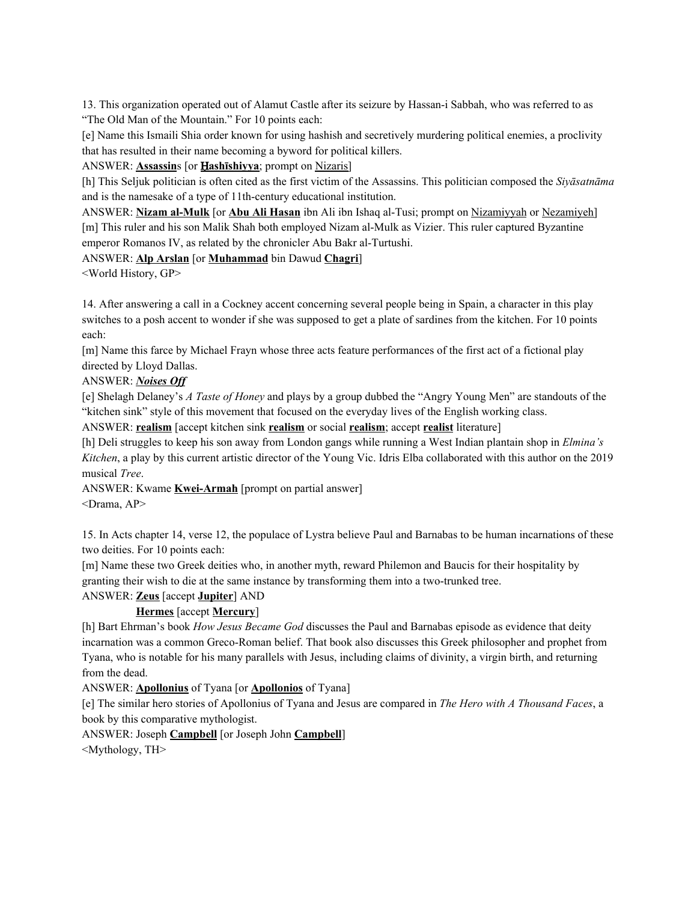13. This organization operated out of Alamut Castle after its seizure by Hassan-i Sabbah, who was referred to as "The Old Man of the Mountain." For 10 points each:

[e] Name this Ismaili Shia order known for using hashish and secretively murdering political enemies, a proclivity that has resulted in their name becoming a byword for political killers.

ANSWER: **Assassin**s [or Ḥ**ashīshiyya**; prompt on Nizaris]

[h] This Seljuk politician is often cited as the first victim of the Assassins. This politician composed the *Siyāsatnāma* and is the namesake of a type of 11th-century educational institution.

ANSWER: **Nizam al-Mulk** [or **Abu Ali Hasan** ibn Ali ibn Ishaq al-Tusi; prompt on Nizamiyyah or Nezamiyeh] [m] This ruler and his son Malik Shah both employed Nizam al-Mulk as Vizier. This ruler captured Byzantine emperor Romanos IV, as related by the chronicler Abu Bakr al-Turtushi.

# ANSWER: **Alp Arslan** [or **Muhammad** bin Dawud **Chagri**]

<World History, GP>

14. After answering a call in a Cockney accent concerning several people being in Spain, a character in this play switches to a posh accent to wonder if she was supposed to get a plate of sardines from the kitchen. For 10 points each:

[m] Name this farce by Michael Frayn whose three acts feature performances of the first act of a fictional play directed by Lloyd Dallas.

### ANSWER: *Noises Of*

[e] Shelagh Delaney's *A Taste of Honey* and plays by a group dubbed the "Angry Young Men" are standouts of the "kitchen sink" style of this movement that focused on the everyday lives of the English working class. ANSWER: **realism** [accept kitchen sink **realism** or social **realism**; accept **realist** literature]

[h] Deli struggles to keep his son away from London gangs while running a West Indian plantain shop in *Elmina's*

*Kitchen*, a play by this current artistic director of the Young Vic. Idris Elba collaborated with this author on the 2019 musical *Tree*.

ANSWER: Kwame **Kwei-Armah** [prompt on partial answer] <Drama, AP>

15. In Acts chapter 14, verse 12, the populace of Lystra believe Paul and Barnabas to be human incarnations of these two deities. For 10 points each:

[m] Name these two Greek deities who, in another myth, reward Philemon and Baucis for their hospitality by granting their wish to die at the same instance by transforming them into a two-trunked tree.

### ANSWER: **Zeus** [accept **Jupiter**] AND

# **Hermes** [accept **Mercury**]

[h] Bart Ehrman's book *How Jesus Became God* discusses the Paul and Barnabas episode as evidence that deity incarnation was a common Greco-Roman belief. That book also discusses this Greek philosopher and prophet from Tyana, who is notable for his many parallels with Jesus, including claims of divinity, a virgin birth, and returning from the dead.

### ANSWER: **Apollonius** of Tyana [or **Apollonios** of Tyana]

[e] The similar hero stories of Apollonius of Tyana and Jesus are compared in *The Hero with A Thousand Faces*, a book by this comparative mythologist.

ANSWER: Joseph **Campbell** [or Joseph John **Campbell**]

<Mythology, TH>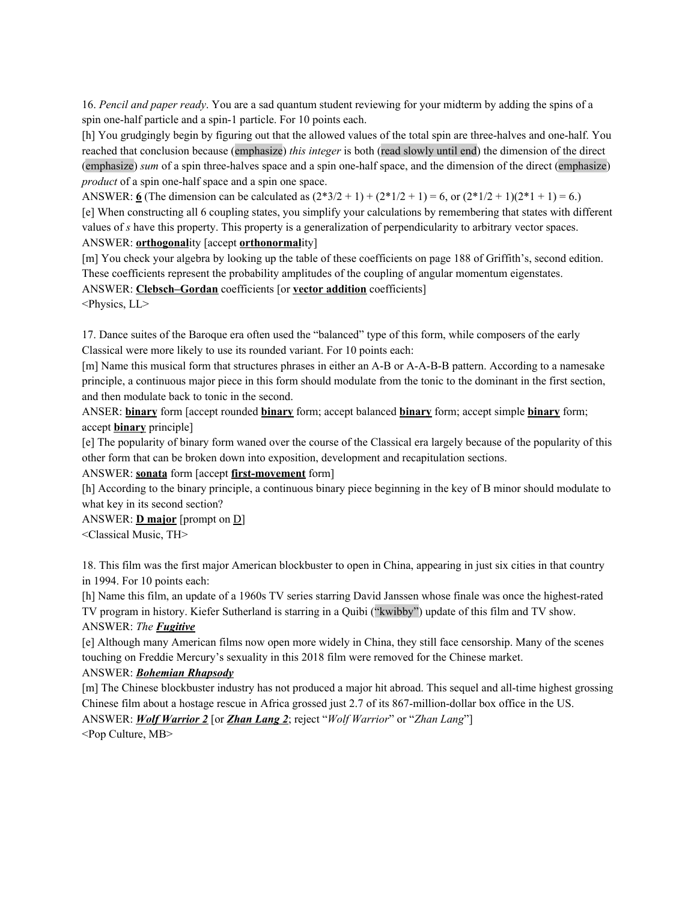16. *Pencil and paper ready*. You are a sad quantum student reviewing for your midterm by adding the spins of a spin one-half particle and a spin-1 particle. For 10 points each.

[h] You grudgingly begin by figuring out that the allowed values of the total spin are three-halves and one-half. You reached that conclusion because (emphasize) *this integer* is both (read slowly until end) the dimension of the direct (emphasize) *sum* of a spin three-halves space and a spin one-half space, and the dimension of the direct (emphasize) *product* of a spin one-half space and a spin one space.

ANSWER: **6** (The dimension can be calculated as  $(2*3/2 + 1) + (2*1/2 + 1) = 6$ , or  $(2*1/2 + 1)(2*1 + 1) = 6$ .)

[e] When constructing all 6 coupling states, you simplify your calculations by remembering that states with different values of *s* have this property. This property is a generalization of perpendicularity to arbitrary vector spaces. ANSWER: **orthogonal**ity [accept **orthonormal**ity]

[m] You check your algebra by looking up the table of these coefficients on page 188 of Griffith's, second edition. These coefficients represent the probability amplitudes of the coupling of angular momentum eigenstates.

ANSWER: **Clebsch–Gordan** coefficients [or **vector addition** coefficients]

<Physics, LL>

17. Dance suites of the Baroque era often used the "balanced" type of this form, while composers of the early Classical were more likely to use its rounded variant. For 10 points each:

[m] Name this musical form that structures phrases in either an A-B or A-A-B-B pattern. According to a namesake principle, a continuous major piece in this form should modulate from the tonic to the dominant in the first section, and then modulate back to tonic in the second.

ANSER: **binary** form [accept rounded **binary** form; accept balanced **binary** form; accept simple **binary** form; accept **binary** principle]

[e] The popularity of binary form waned over the course of the Classical era largely because of the popularity of this other form that can be broken down into exposition, development and recapitulation sections.

ANSWER: **sonata** form [accept **first-movement** form]

[h] According to the binary principle, a continuous binary piece beginning in the key of B minor should modulate to what key in its second section?

ANSWER: **D major** [prompt on D]

<Classical Music, TH>

18. This film was the first major American blockbuster to open in China, appearing in just six cities in that country in 1994. For 10 points each:

[h] Name this film, an update of a 1960s TV series starring David Janssen whose finale was once the highest-rated TV program in history. Kiefer Sutherland is starring in a Quibi ("kwibby") update of this film and TV show.

# ANSWER: *The Fugitive*

[e] Although many American films now open more widely in China, they still face censorship. Many of the scenes touching on Freddie Mercury's sexuality in this 2018 film were removed for the Chinese market.

# ANSWER: *Bohemian Rhapsody*

[m] The Chinese blockbuster industry has not produced a major hit abroad. This sequel and all-time highest grossing Chinese film about a hostage rescue in Africa grossed just 2.7 of its 867-million-dollar box office in the US.

ANSWER: *Wolf Warrior 2* [or *Zhan Lang 2*; reject "*Wolf Warrior*" or "*Zhan Lang*"]

<Pop Culture, MB>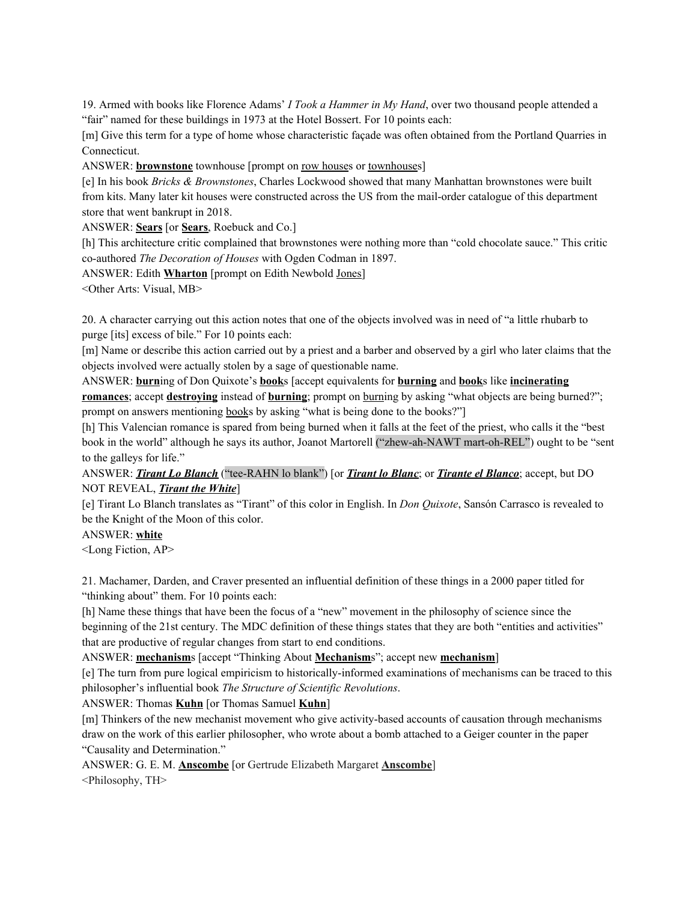19. Armed with books like Florence Adams' *I Took a Hammer in My Hand*, over two thousand people attended a "fair" named for these buildings in 1973 at the Hotel Bossert. For 10 points each:

[m] Give this term for a type of home whose characteristic façade was often obtained from the Portland Quarries in Connecticut.

ANSWER: **brownstone** townhouse [prompt on row houses or townhouses]

[e] In his book *Bricks & Brownstones*, Charles Lockwood showed that many Manhattan brownstones were built from kits. Many later kit houses were constructed across the US from the mail-order catalogue of this department store that went bankrupt in 2018.

ANSWER: **Sears** [or **Sears**, Roebuck and Co.]

[h] This architecture critic complained that brownstones were nothing more than "cold chocolate sauce." This critic co-authored *The Decoration of Houses* with Ogden Codman in 1897.

ANSWER: Edith **Wharton** [prompt on Edith Newbold Jones]

<Other Arts: Visual, MB>

20. A character carrying out this action notes that one of the objects involved was in need of "a little rhubarb to purge [its] excess of bile." For 10 points each:

[m] Name or describe this action carried out by a priest and a barber and observed by a girl who later claims that the objects involved were actually stolen by a sage of questionable name.

ANSWER: **burn**ing of Don Quixote's **book**s [accept equivalents for **burning** and **book**s like **incinerating romances**; accept **destroying** instead of **burning**; prompt on burning by asking "what objects are being burned?"; prompt on answers mentioning books by asking "what is being done to the books?"]

[h] This Valencian romance is spared from being burned when it falls at the feet of the priest, who calls it the "best book in the world" although he says its author, Joanot Martorell ("zhew-ah-NAWT mart-oh-REL") ought to be "sent to the galleys for life."

ANSWER: *Tirant Lo Blanch* ("tee-RAHN lo blank") [or *Tirant lo Blanc*; or *Tirante el Blanco*; accept, but DO NOT REVEAL, *Tirant the White*]

[e] Tirant Lo Blanch translates as "Tirant" of this color in English. In *Don Quixote*, Sansón Carrasco is revealed to be the Knight of the Moon of this color.

ANSWER: **white**

<Long Fiction, AP>

21. Machamer, Darden, and Craver presented an influential definition of these things in a 2000 paper titled for "thinking about" them. For 10 points each:

[h] Name these things that have been the focus of a "new" movement in the philosophy of science since the beginning of the 21st century. The MDC definition of these things states that they are both "entities and activities" that are productive of regular changes from start to end conditions.

ANSWER: **mechanism**s [accept "Thinking About **Mechanism**s"; accept new **mechanism**]

[e] The turn from pure logical empiricism to historically-informed examinations of mechanisms can be traced to this philosopher's influential book *The Structure of Scientific Revolutions*.

ANSWER: Thomas **Kuhn** [or Thomas Samuel **Kuhn**]

[m] Thinkers of the new mechanist movement who give activity-based accounts of causation through mechanisms draw on the work of this earlier philosopher, who wrote about a bomb attached to a Geiger counter in the paper "Causality and Determination."

ANSWER: G. E. M. **Anscombe** [or Gertrude Elizabeth Margaret **Anscombe**]

<Philosophy, TH>